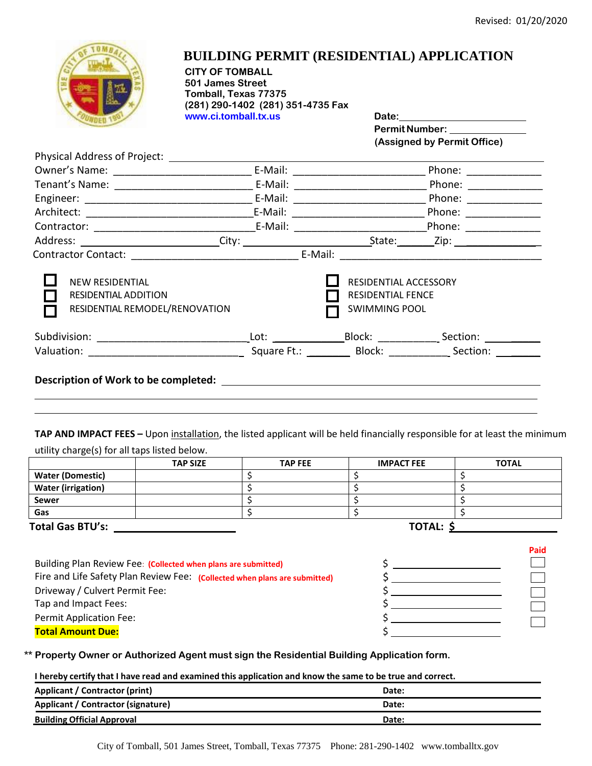

## **BUILDING PERMIT (RESIDENTIAL) APPLICATION**

**CITY OF TOMBALL 501 James Street Tomball, Texas 77375 (281) 290-1402 (281) 351-4735 Fax www.ci.tomball.tx.us Date:**

Permit Number: \_\_\_\_\_ **(Assigned by Permit Office)**

|                                                                                         | E-Mail: _____________________                                             | Phone: _______________      |
|-----------------------------------------------------------------------------------------|---------------------------------------------------------------------------|-----------------------------|
|                                                                                         |                                                                           | Phone: ___________          |
|                                                                                         |                                                                           | Phone: ___________          |
|                                                                                         |                                                                           | Phone: <u>_________</u>     |
|                                                                                         |                                                                           | Phone: _____________        |
|                                                                                         |                                                                           |                             |
|                                                                                         | E-Mail:                                                                   |                             |
| <b>NEW RESIDENTIAL</b><br><b>RESIDENTIAL ADDITION</b><br>RESIDENTIAL REMODEL/RENOVATION | RESIDENTIAL ACCESSORY<br><b>RESIDENTIAL FENCE</b><br><b>SWIMMING POOL</b> |                             |
|                                                                                         |                                                                           | Section: <b>Section</b>     |
|                                                                                         |                                                                           | Square Ft.: Block: Section: |
| Description of Work to be completed:                                                    |                                                                           |                             |

**TAP AND IMPACT FEES –** Upon installation, the listed applicant will be held financially responsible for at least the minimum utility charge(s) for all taps listed below.

|                           | <b>TAP SIZE</b> | <b>TAP FEE</b>   | <b>IMPACT FEE</b> | <b>TOTAL</b> |
|---------------------------|-----------------|------------------|-------------------|--------------|
| <b>Water (Domestic)</b>   |                 |                  |                   |              |
| <b>Water (irrigation)</b> |                 |                  |                   |              |
| <b>Sewer</b>              |                 |                  |                   |              |
| Gas                       |                 |                  |                   |              |
| <b>Total Gas BTU's:</b>   |                 | <b>TOTAL: \$</b> |                   |              |

| Paid |
|------|
|      |
|      |
|      |
|      |
|      |
|      |
|      |

**\*\* Property Owner or Authorized Agent must sign the Residential Building Application form.**

I hereby certify that I have read and examined this application and know the same to be true and correct.

| Applicant / Contractor (print)     | Date: |
|------------------------------------|-------|
| Applicant / Contractor (signature) | Date: |
| <b>Building Official Approval</b>  | Date: |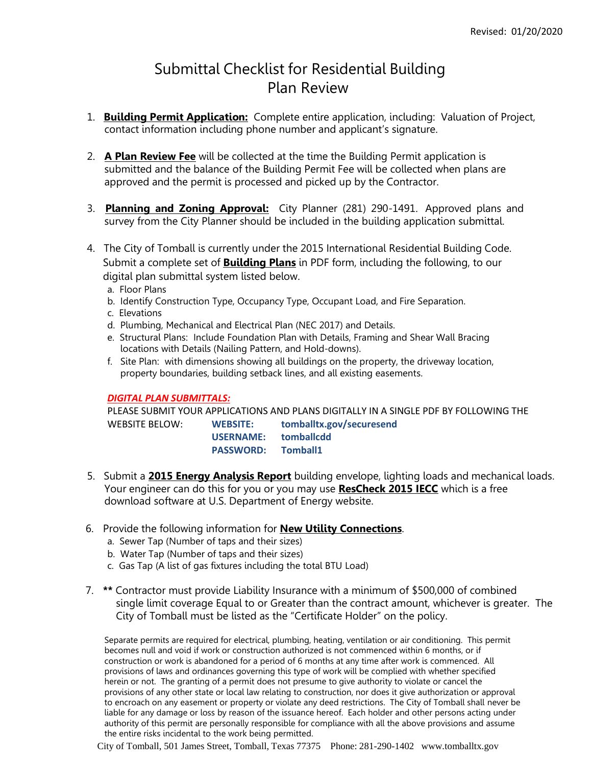## Submittal Checklist for Residential Building Plan Review

- 1. **Building Permit Application:** Complete entire application, including: Valuation of Project, contact information including phone number and applicant's signature.
- 2. **A Plan Review Fee** will be collected at the time the Building Permit application is submitted and the balance of the Building Permit Fee will be collected when plans are approved and the permit is processed and picked up by the Contractor.
- 3. **Planning and Zoning Approval:** City Planner (281) 290-1491. Approved plans and survey from the City Planner should be included in the building application submittal.
- 4. The City of Tomball is currently under the 2015 International Residential Building Code. Submit a complete set of **Building Plans** in PDF form, including the following, to our digital plan submittal system listed below.
	- a. Floor Plans
	- b. Identify Construction Type, Occupancy Type, Occupant Load, and Fire Separation.
	- c. Elevations
	- d. Plumbing, Mechanical and Electrical Plan (NEC 2017) and Details.
	- e. Structural Plans: Include Foundation Plan with Details, Framing and Shear Wall Bracing locations with Details (Nailing Pattern, and Hold-downs).
	- f. Site Plan: with dimensions showing all buildings on the property, the driveway location, property boundaries, building setback lines, and all existing easements.

## *DIGITAL PLAN SUBMITTALS:*

PLEASE SUBMIT YOUR APPLICATIONS AND PLANS DIGITALLY IN A SINGLE PDF BY FOLLOWING THE WEBSITE BELOW: **WEBSITE: tomballtx.gov/securesend USERNAME: tomballcdd PASSWORD: Tomball1**

- 5. Submit a **2015 Energy Analysis Report** building envelope, lighting loads and mechanical loads. Your engineer can do this for you or you may use **ResCheck 2015 IECC** which is a free download software at U.S. Department of Energy website.
- 6. Provide the following information for **New Utility Connections**.
	- a. Sewer Tap (Number of taps and their sizes)
	- b. Water Tap (Number of taps and their sizes)
	- c. Gas Tap (A list of gas fixtures including the total BTU Load)
- 7. **\*\*** Contractor must provide Liability Insurance with a minimum of \$500,000 of combined single limit coverage Equal to or Greater than the contract amount, whichever is greater. The City of Tomball must be listed as the "Certificate Holder" on the policy.

Separate permits are required for electrical, plumbing, heating, ventilation or air conditioning. This permit becomes null and void if work or construction authorized is not commenced within 6 months, or if construction or work is abandoned for a period of 6 months at any time after work is commenced. All provisions of laws and ordinances governing this type of work will be complied with whether specified herein or not. The granting of a permit does not presume to give authority to violate or cancel the provisions of any other state or local law relating to construction, nor does it give authorization or approval to encroach on any easement or property or violate any deed restrictions. The City of Tomball shall never be liable for any damage or loss by reason of the issuance hereof. Each holder and other persons acting under authority of this permit are personally responsible for compliance with all the above provisions and assume the entire risks incidental to the work being permitted.

City of Tomball, 501 James Street, Tomball, Texas 77375 Phone: 281-290-1402 [www.tomballtx.gov](http://www.tomballtx.gov/)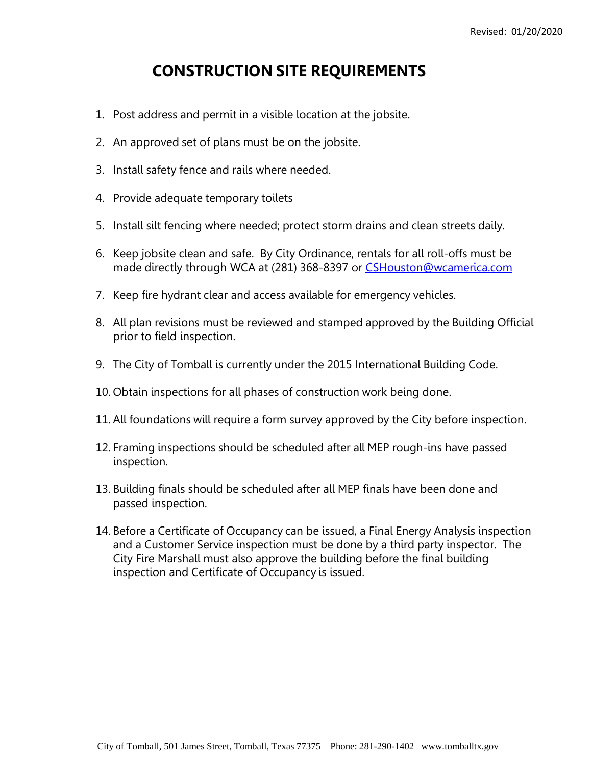## **CONSTRUCTION SITE REQUIREMENTS**

- 1. Post address and permit in a visible location at the jobsite.
- 2. An approved set of plans must be on the jobsite.
- 3. Install safety fence and rails where needed.
- 4. Provide adequate temporary toilets
- 5. Install silt fencing where needed; protect storm drains and clean streets daily.
- 6. Keep jobsite clean and safe. By City Ordinance, rentals for all roll-offs must be made directly through WCA at (281) 368-8397 or [CSHouston@wcamerica.com](mailto:CSHouston@wcamerica.com)
- 7. Keep fire hydrant clear and access available for emergency vehicles.
- 8. All plan revisions must be reviewed and stamped approved by the Building Official prior to field inspection.
- 9. The City of Tomball is currently under the 2015 International Building Code.
- 10. Obtain inspections for all phases of construction work being done.
- 11. All foundations will require a form survey approved by the City before inspection.
- 12. Framing inspections should be scheduled after all MEP rough-ins have passed inspection.
- 13. Building finals should be scheduled after all MEP finals have been done and passed inspection.
- 14. Before a Certificate of Occupancy can be issued, a Final Energy Analysis inspection and a Customer Service inspection must be done by a third party inspector. The City Fire Marshall must also approve the building before the final building inspection and Certificate of Occupancy is issued.